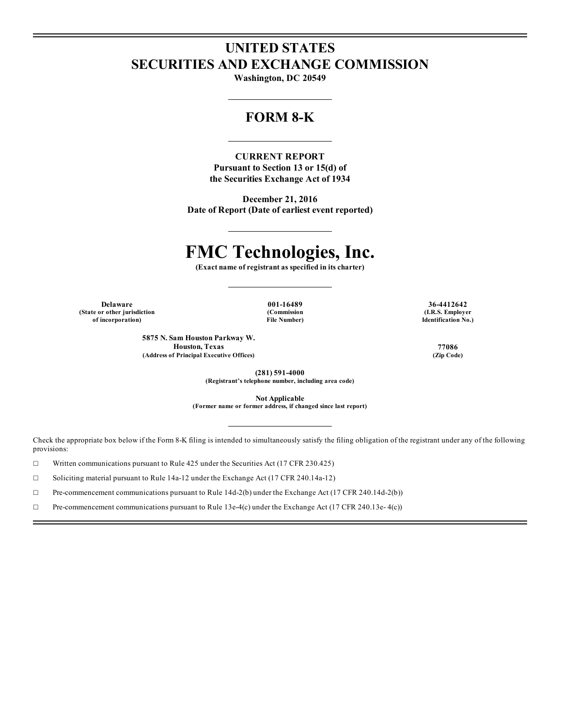# **UNITED STATES SECURITIES AND EXCHANGE COMMISSION**

**Washington, DC 20549**

# **FORM 8-K**

**CURRENT REPORT Pursuant to Section 13 or 15(d) of the Securities Exchange Act of 1934**

**December 21, 2016 Date of Report (Date of earliest event reported)**

# **FMC Technologies, Inc.**

**(Exact name of registrant as specified in its charter)**

**(State or other jurisdiction of incorporation)**

**(Commission File Number)**

**Delaware 001-16489 36-4412642 (I.R.S. Employer Identification No.)**

> **5875 N. Sam Houston Parkway W. Houston, Texas 77086 (Address of Principal Executive Offices) (Zip Code)**

**(281) 591-4000**

**(Registrant's telephone number, including area code)**

**Not Applicable**

**(Former name or former address, if changed since last report)**

Check the appropriate box below if the Form 8-K filing is intended to simultaneously satisfy the filing obligation of the registrant under any of the following provisions:

☐ Written communications pursuant to Rule 425 under the Securities Act (17 CFR 230.425)

☐ Soliciting material pursuant to Rule 14a-12 under the Exchange Act (17 CFR 240.14a-12)

☐ Pre-commencement communications pursuant to Rule 14d-2(b) under the Exchange Act (17 CFR 240.14d-2(b))

 $\Box$  Pre-commencement communications pursuant to Rule 13e-4(c) under the Exchange Act (17 CFR 240.13e-4(c))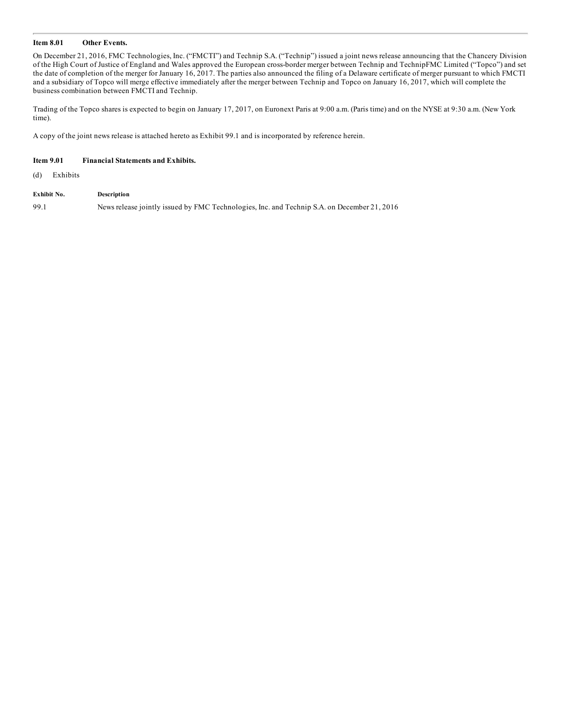#### **Item 8.01 Other Events.**

On December 21, 2016, FMC Technologies, Inc. ("FMCTI") and Technip S.A. ("Technip") issued a joint news release announcing that the Chancery Division of the High Court of Justice of England and Wales approved the European cross-border merger between Technip and TechnipFMC Limited ("Topco") and set the date of completion of the merger for January 16, 2017. The parties also announced the filing of a Delaware certificate of merger pursuant to which FMCTI and a subsidiary of Topco will merge effective immediately after the merger between Technip and Topco on January 16, 2017, which will complete the business combination between FMCTI and Technip.

Trading of the Topco shares is expected to begin on January 17, 2017, on Euronext Paris at 9:00 a.m. (Paris time) and on the NYSE at 9:30 a.m. (New York time).

A copy of the joint news release is attached hereto as Exhibit 99.1 and is incorporated by reference herein.

#### **Item 9.01 Financial Statements and Exhibits.**

(d) Exhibits

**Exhibit No. Description**

99.1 News release jointly issued by FMC Technologies, Inc. and Technip S.A. on December 21, 2016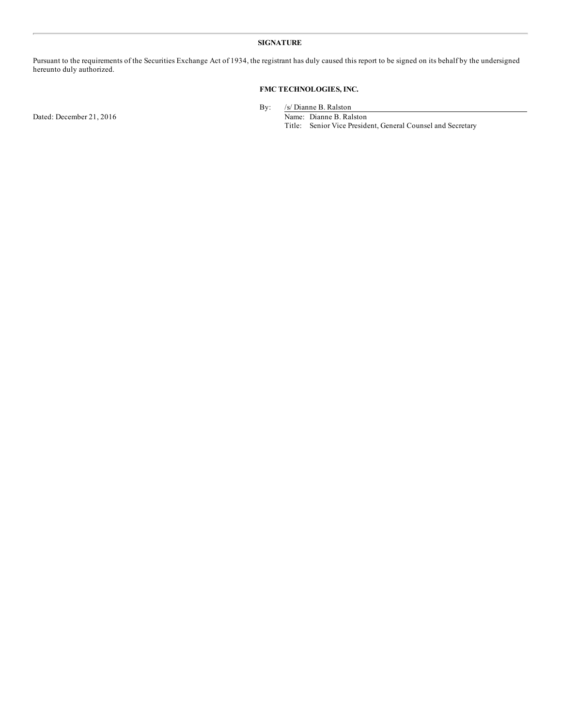#### **SIGNATURE**

Pursuant to the requirements of the Securities Exchange Act of 1934, the registrant has duly caused this report to be signed on its behalf by the undersigned hereunto duly authorized.

### **FMC TECHNOLOGIES, INC.**

Dated: December 21, 2016 Name: Dianne B. Ralston

By: /s/ Dianne B. Ralston

Title: Senior Vice President, General Counsel and Secretary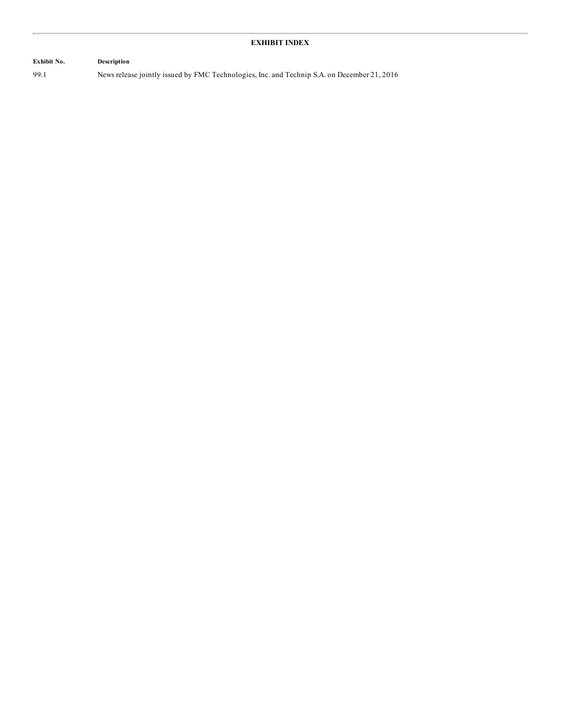## **Exhibit No. Description** 99.1 News release jointly issued by FMC Technologies, Inc. and Technip S.A. on December 21, 2016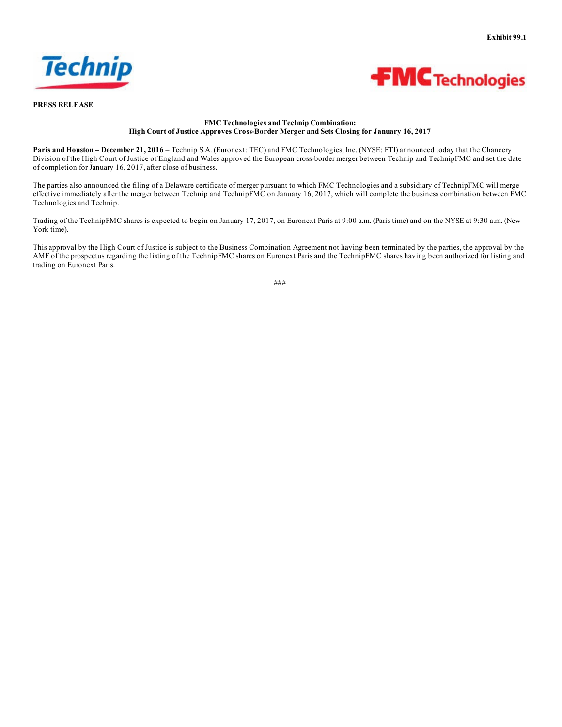



**PRESS RELEASE**

#### **FMC Technologies and Technip Combination: High Court of Justice Approves Cross-Border Merger and Sets Closing for January 16, 2017**

**Paris and Houston – December 21, 2016** – Technip S.A. (Euronext: TEC) and FMC Technologies, Inc. (NYSE: FTI) announced today that the Chancery Division of the High Court of Justice of England and Wales approved the European cross-border merger between Technip and TechnipFMC and set the date of completion for January 16, 2017, after close of business.

The parties also announced the filing of a Delaware certificate of merger pursuant to which FMC Technologies and a subsidiary of TechnipFMC will merge effective immediately after the merger between Technip and TechnipFMC on January 16, 2017, which will complete the business combination between FMC Technologies and Technip.

Trading of the TechnipFMC shares is expected to begin on January 17, 2017, on Euronext Paris at 9:00 a.m. (Paris time) and on the NYSE at 9:30 a.m. (New York time).

This approval by the High Court of Justice is subject to the Business Combination Agreement not having been terminated by the parties, the approval by the AMF of the prospectus regarding the listing of the TechnipFMC shares on Euronext Paris and the TechnipFMC shares having been authorized for listing and trading on Euronext Paris.

<sup>###</sup>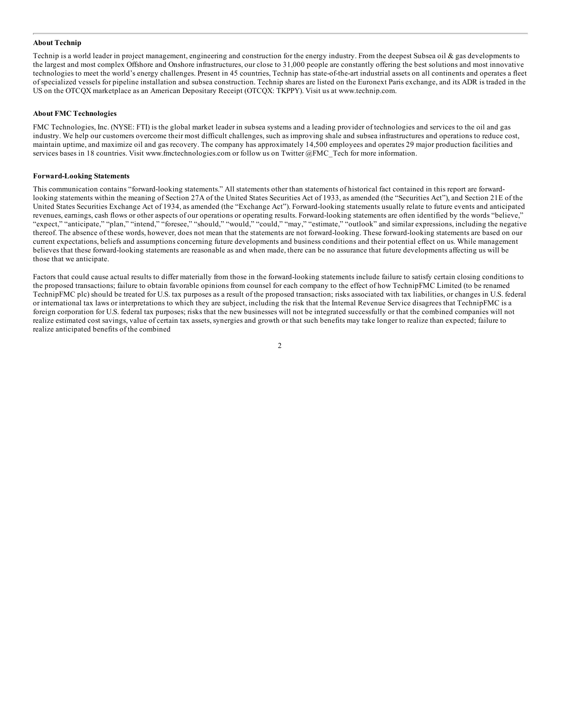#### **About Technip**

Technip is a world leader in project management, engineering and construction for the energy industry. From the deepest Subsea oil  $\&$  gas developments to the largest and most complex Offshore and Onshore infrastructures, our close to 31,000 people are constantly offering the best solutions and most innovative technologies to meet the world's energy challenges. Present in 45 countries, Technip has state-of-the-art industrial assets on all continents and operates a fleet of specialized vessels for pipeline installation and subsea construction. Technip shares are listed on the Euronext Paris exchange, and its ADR is traded in the US on the OTCQX marketplace as an American Depositary Receipt (OTCQX: TKPPY). Visit us at www.technip.com.

#### **About FMC Technologies**

FMC Technologies, Inc. (NYSE: FTI) is the global market leader in subsea systems and a leading provider of technologies and services to the oil and gas industry. We help our customers overcome their most difficult challenges, such as improving shale and subsea infrastructures and operations to reduce cost, maintain uptime, and maximize oil and gas recovery. The company has approximately 14,500 employees and operates 29 major production facilities and services bases in 18 countries. Visit www.fmctechnologies.com or follow us on Twitter @FMC\_Tech for more information.

#### **Forward-Looking Statements**

This communication contains "forward-looking statements." All statements other than statements of historical fact contained in this report are forwardlooking statements within the meaning of Section 27A of the United States Securities Act of 1933, as amended (the "Securities Act"), and Section 21E of the United States Securities Exchange Act of 1934, as amended (the "Exchange Act"). Forward-looking statements usually relate to future events and anticipated revenues, earnings, cash flows or other aspects of our operations or operating results. Forward-looking statements are often identified by the words "believe," "expect," "anticipate," "plan," "intend," "foresee," "should," "would," "could," "may," "estimate," "outlook" and similar expressions, including the negative thereof. The absence of these words, however, does not mean that the statements are not forward-looking. These forward-looking statements are based on our current expectations, beliefs and assumptions concerning future developments and business conditions and their potential effect on us. While management believes that these forward-looking statements are reasonable as and when made, there can be no assurance that future developments affecting us will be those that we anticipate.

Factors that could cause actual results to differ materially from those in the forward-looking statements include failure to satisfy certain closing conditions to the proposed transactions; failure to obtain favorable opinions from counsel for each company to the effect of how TechnipFMC Limited (to be renamed TechnipFMC plc) should be treated for U.S. tax purposes as a result of the proposed transaction; risks associated with tax liabilities, or changes in U.S. federal or international tax laws or interpretations to which they are subject, including the risk that the Internal Revenue Service disagrees that TechnipFMC is a foreign corporation for U.S. federal tax purposes; risks that the new businesses will not be integrated successfully or that the combined companies will not realize estimated cost savings, value of certain tax assets, synergies and growth or that such benefits may take longer to realize than expected; failure to realize anticipated benefits of the combined

2